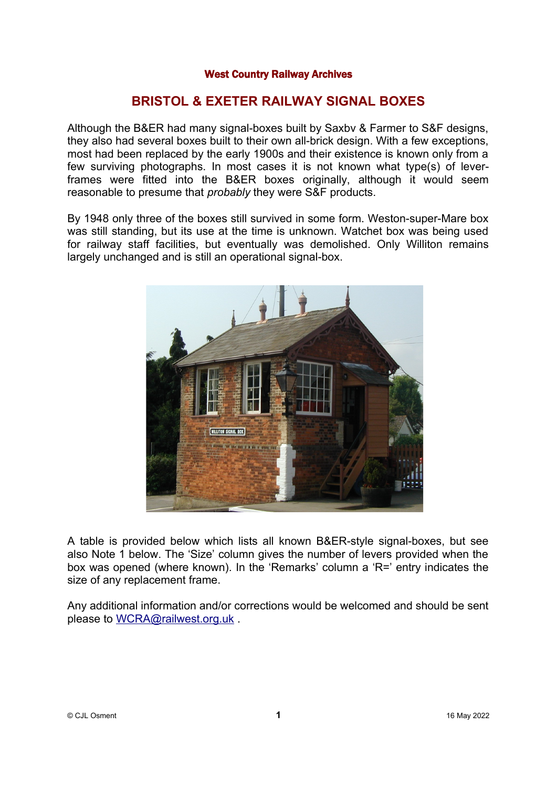## West Country Railway Archives

## **BRISTOL & EXETER RAILWAY SIGNAL BOXES**

Although the B&ER had many signal-boxes built by Saxbv & Farmer to S&F designs, they also had several boxes built to their own all-brick design. With a few exceptions, most had been replaced by the early 1900s and their existence is known only from a few surviving photographs. In most cases it is not known what type(s) of leverframes were fitted into the B&ER boxes originally, although it would seem reasonable to presume that *probably* they were S&F products.

By 1948 only three of the boxes still survived in some form. Weston-super-Mare box was still standing, but its use at the time is unknown. Watchet box was being used for railway staff facilities, but eventually was demolished. Only Williton remains largely unchanged and is still an operational signal-box.



A table is provided below which lists all known B&ER-style signal-boxes, but see also Note 1 below. The 'Size' column gives the number of levers provided when the box was opened (where known). In the 'Remarks' column a 'R=' entry indicates the size of any replacement frame.

Any additional information and/or corrections would be welcomed and should be sent please to [WCRA@railwest.org.uk](mailto:WCRA@railwest.org.uk) .